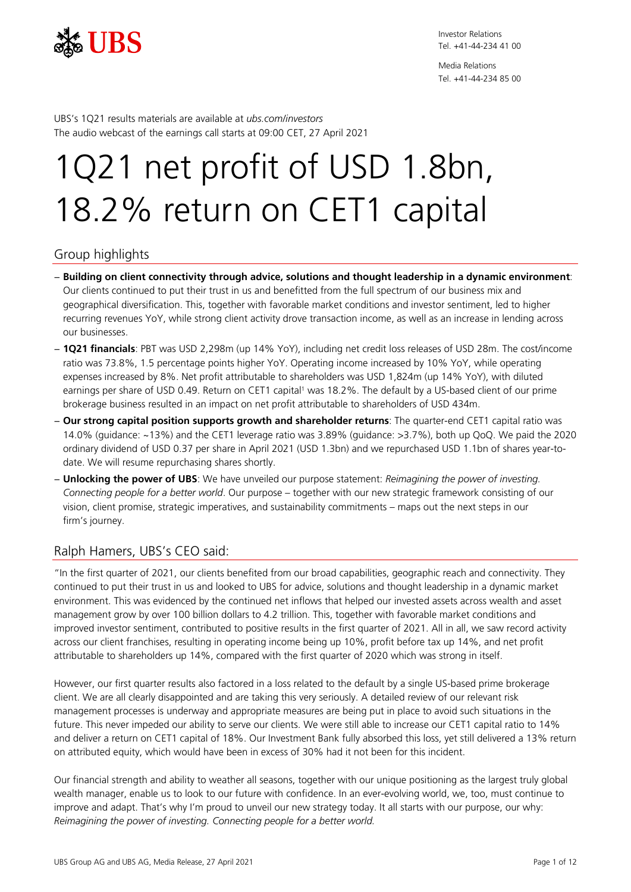

Media Relations Tel. +41-44-234 85 00

UBS's 1Q21 results materials are available at *[ubs.com/investors](https://www.ubs.com/investors)* The audio webcast of the earnings call starts at 09:00 CET, 27 April 2021

# 1Q21 net profit of USD 1.8bn, 18.2% return on CET1 capital

# Group highlights

- − **Building on client connectivity through advice, solutions and thought leadership in a dynamic environment**: Our clients continued to put their trust in us and benefitted from the full spectrum of our business mix and geographical diversification. This, together with favorable market conditions and investor sentiment, led to higher recurring revenues YoY, while strong client activity drove transaction income, as well as an increase in lending across our businesses.
- − **1Q21 financials**: PBT was USD 2,298m (up 14% YoY), including net credit loss releases of USD 28m. The cost/income ratio was 73.8%, 1.5 percentage points higher YoY. Operating income increased by 10% YoY, while operating expenses increased by 8%. Net profit attributable to shareholders was USD 1,824m (up 14% YoY), with diluted earnings per share of USD 0.49. Return on CET1 capital<sup>1</sup> was 18.2%. The default by a US-based client of our prime brokerage business resulted in an impact on net profit attributable to shareholders of USD 434m.
- − **Our strong capital position supports growth and shareholder returns**: The quarter-end CET1 capital ratio was 14.0% (guidance: ~13%) and the CET1 leverage ratio was 3.89% (guidance: >3.7%), both up QoQ. We paid the 2020 ordinary dividend of USD 0.37 per share in April 2021 (USD 1.3bn) and we repurchased USD 1.1bn of shares year-todate. We will resume repurchasing shares shortly.
- − **Unlocking the power of UBS**: We have unveiled our purpose statement: *Reimagining the power of investing. Connecting people for a better world*. Our purpose – together with our new strategic framework consisting of our vision, client promise, strategic imperatives, and sustainability commitments – maps out the next steps in our firm's journey.

# Ralph Hamers, UBS's CEO said:

"In the first quarter of 2021, our clients benefited from our broad capabilities, geographic reach and connectivity. They continued to put their trust in us and looked to UBS for advice, solutions and thought leadership in a dynamic market environment. This was evidenced by the continued net inflows that helped our invested assets across wealth and asset management grow by over 100 billion dollars to 4.2 trillion. This, together with favorable market conditions and improved investor sentiment, contributed to positive results in the first quarter of 2021. All in all, we saw record activity across our client franchises, resulting in operating income being up 10%, profit before tax up 14%, and net profit attributable to shareholders up 14%, compared with the first quarter of 2020 which was strong in itself.

However, our first quarter results also factored in a loss related to the default by a single US-based prime brokerage client. We are all clearly disappointed and are taking this very seriously. A detailed review of our relevant risk management processes is underway and appropriate measures are being put in place to avoid such situations in the future. This never impeded our ability to serve our clients. We were still able to increase our CET1 capital ratio to 14% and deliver a return on CET1 capital of 18%. Our Investment Bank fully absorbed this loss, yet still delivered a 13% return on attributed equity, which would have been in excess of 30% had it not been for this incident.

Our financial strength and ability to weather all seasons, together with our unique positioning as the largest truly global wealth manager, enable us to look to our future with confidence. In an ever-evolving world, we, too, must continue to improve and adapt. That's why I'm proud to unveil our new strategy today. It all starts with our purpose, our why: *Reimagining the power of investing. Connecting people for a better world.*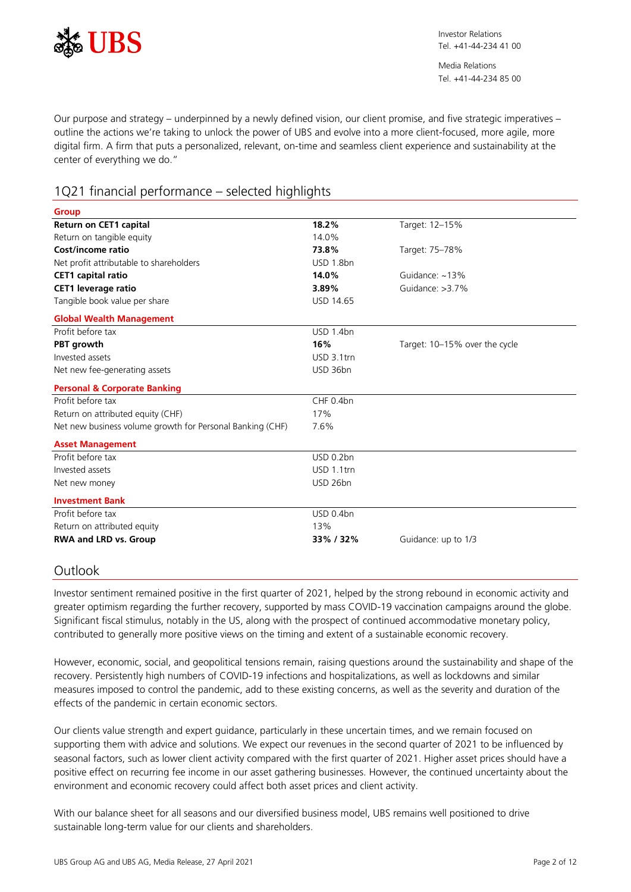

Our purpose and strategy – underpinned by a newly defined vision, our client promise, and five strategic imperatives – outline the actions we're taking to unlock the power of UBS and evolve into a more client-focused, more agile, more digital firm. A firm that puts a personalized, relevant, on-time and seamless client experience and sustainability at the center of everything we do."

# 1Q21 financial performance – selected highlights

| <b>Group</b>                                              |                  |                               |
|-----------------------------------------------------------|------------------|-------------------------------|
| <b>Return on CET1 capital</b>                             | 18.2%            | Target: 12-15%                |
| Return on tangible equity                                 | 14.0%            |                               |
| Cost/income ratio                                         | 73.8%            | Target: 75-78%                |
| Net profit attributable to shareholders                   | USD 1.8bn        |                               |
| <b>CET1</b> capital ratio                                 | 14.0%            | Guidance: ~13%                |
| <b>CET1 leverage ratio</b>                                | 3.89%            | Guidance: >3.7%               |
| Tangible book value per share                             | <b>USD 14.65</b> |                               |
| <b>Global Wealth Management</b>                           |                  |                               |
| Profit before tax                                         | USD 1.4bn        |                               |
| PBT growth                                                | 16%              | Target: 10-15% over the cycle |
| Invested assets                                           | USD 3.1trn       |                               |
| Net new fee-generating assets                             | USD 36bn         |                               |
| <b>Personal &amp; Corporate Banking</b>                   |                  |                               |
| Profit before tax                                         | CHF 0.4bn        |                               |
| Return on attributed equity (CHF)                         | 17%              |                               |
| Net new business volume growth for Personal Banking (CHF) | 7.6%             |                               |
| <b>Asset Management</b>                                   |                  |                               |
| Profit before tax                                         | USD 0.2bn        |                               |
| Invested assets                                           | USD 1.1trn       |                               |
| Net new money                                             | USD 26bn         |                               |
| <b>Investment Bank</b>                                    |                  |                               |
| Profit before tax                                         | USD 0.4bn        |                               |
| Return on attributed equity                               | 13%              |                               |
| <b>RWA and LRD vs. Group</b>                              | 33%/32%          | Guidance: up to 1/3           |

# Outlook

Investor sentiment remained positive in the first quarter of 2021, helped by the strong rebound in economic activity and greater optimism regarding the further recovery, supported by mass COVID-19 vaccination campaigns around the globe. Significant fiscal stimulus, notably in the US, along with the prospect of continued accommodative monetary policy, contributed to generally more positive views on the timing and extent of a sustainable economic recovery.

However, economic, social, and geopolitical tensions remain, raising questions around the sustainability and shape of the recovery. Persistently high numbers of COVID-19 infections and hospitalizations, as well as lockdowns and similar measures imposed to control the pandemic, add to these existing concerns, as well as the severity and duration of the effects of the pandemic in certain economic sectors.

Our clients value strength and expert guidance, particularly in these uncertain times, and we remain focused on supporting them with advice and solutions. We expect our revenues in the second quarter of 2021 to be influenced by seasonal factors, such as lower client activity compared with the first quarter of 2021. Higher asset prices should have a positive effect on recurring fee income in our asset gathering businesses. However, the continued uncertainty about the environment and economic recovery could affect both asset prices and client activity.

With our balance sheet for all seasons and our diversified business model, UBS remains well positioned to drive sustainable long-term value for our clients and shareholders.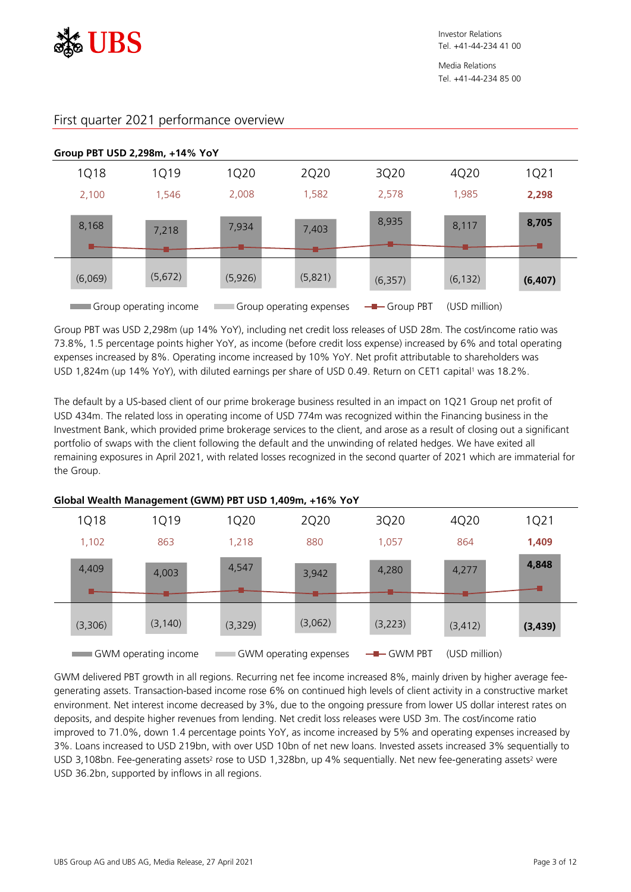



# First quarter 2021 performance overview

Group PBT was USD 2,298m (up 14% YoY), including net credit loss releases of USD 28m. The cost/income ratio was 73.8%, 1.5 percentage points higher YoY, as income (before credit loss expense) increased by 6% and total operating expenses increased by 8%. Operating income increased by 10% YoY. Net profit attributable to shareholders was USD 1,824m (up 14% YoY), with diluted earnings per share of USD 0.49. Return on CET1 capital<sup>1</sup> was 18.2%.

The default by a US-based client of our prime brokerage business resulted in an impact on 1Q21 Group net profit of USD 434m. The related loss in operating income of USD 774m was recognized within the Financing business in the Investment Bank, which provided prime brokerage services to the client, and arose as a result of closing out a significant portfolio of swaps with the client following the default and the unwinding of related hedges. We have exited all remaining exposures in April 2021, with related losses recognized in the second quarter of 2021 which are immaterial for the Group.

|             |                      |         | <u>elepal frealul Mallagellicht (effilij i prosperij lepilij i le<math>\lambda</math>e i pr</u> |             |               |          |
|-------------|----------------------|---------|-------------------------------------------------------------------------------------------------|-------------|---------------|----------|
| <b>1Q18</b> | 1Q19                 | 1Q20    | 2Q20                                                                                            | 3Q20        | 4Q20          | 1Q21     |
| 1,102       | 863                  | 1,218   | 880                                                                                             | 1,057       | 864           | 1,409    |
| 4,409       | 4,003                | 4,547   | 3,942                                                                                           | 4,280       | 4,277         | 4,848    |
|             |                      |         |                                                                                                 |             |               |          |
| (3,306)     | (3, 140)             | (3,329) | (3,062)                                                                                         | (3,223)     | (3, 412)      | (3, 439) |
|             | GWM operating income |         | GWM operating expenses                                                                          | $-$ GWM PBT | (USD million) |          |

## **Global Wealth Management (GWM) PBT USD 1,409m, +16% YoY**

GWM delivered PBT growth in all regions. Recurring net fee income increased 8%, mainly driven by higher average feegenerating assets. Transaction-based income rose 6% on continued high levels of client activity in a constructive market environment. Net interest income decreased by 3%, due to the ongoing pressure from lower US dollar interest rates on deposits, and despite higher revenues from lending. Net credit loss releases were USD 3m. The cost/income ratio improved to 71.0%, down 1.4 percentage points YoY, as income increased by 5% and operating expenses increased by 3%. Loans increased to USD 219bn, with over USD 10bn of net new loans. Invested assets increased 3% sequentially to USD 3,108bn. Fee-generating assets<sup>2</sup> rose to USD 1,328bn, up 4% sequentially. Net new fee-generating assets<sup>2</sup> were USD 36.2bn, supported by inflows in all regions.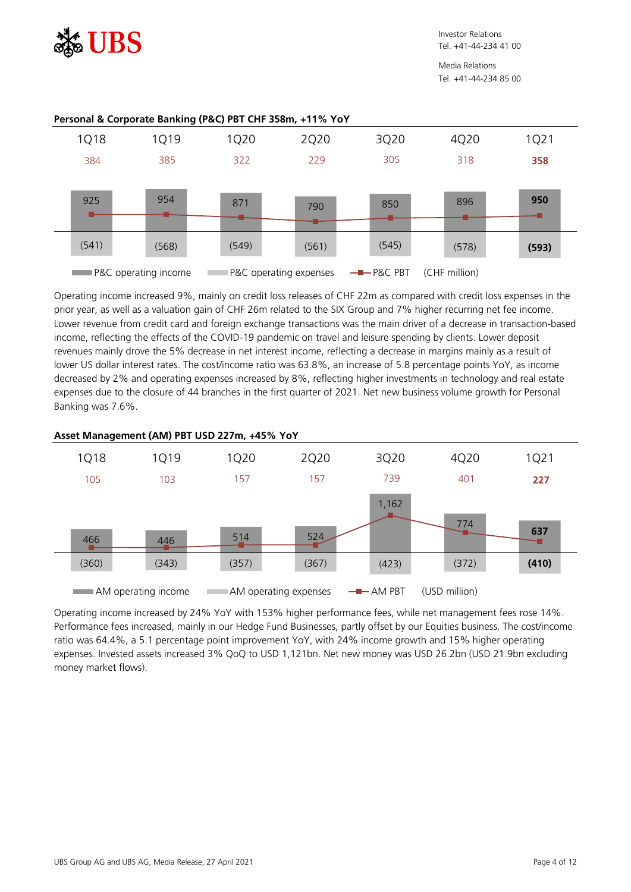

Operating income increased 9%, mainly on credit loss releases of CHF 22m as compared with credit loss expenses in the prior year, as well as a valuation gain of CHF 26m related to the SIX Group and 7% higher recurring net fee income. Lower revenue from credit card and foreign exchange transactions was the main driver of a decrease in transaction-based income, reflecting the effects of the COVID-19 pandemic on travel and leisure spending by clients. Lower deposit revenues mainly drove the 5% decrease in net interest income, reflecting a decrease in margins mainly as a result of lower US dollar interest rates. The cost/income ratio was 63.8%, an increase of 5.8 percentage points YoY, as income decreased by 2% and operating expenses increased by 8%, reflecting higher investments in technology and real estate expenses due to the closure of 44 branches in the first quarter of 2021. Net new business volume growth for Personal Banking was 7.6%.



# **Asset Management (AM) PBT USD 227m, +45% YoY**

Operating income increased by 24% YoY with 153% higher performance fees, while net management fees rose 14%. Performance fees increased, mainly in our Hedge Fund Businesses, partly offset by our Equities business. The cost/income ratio was 64.4%, a 5.1 percentage point improvement YoY, with 24% income growth and 15% higher operating expenses. Invested assets increased 3% QoQ to USD 1,121bn. Net new money was USD 26.2bn (USD 21.9bn excluding money market flows).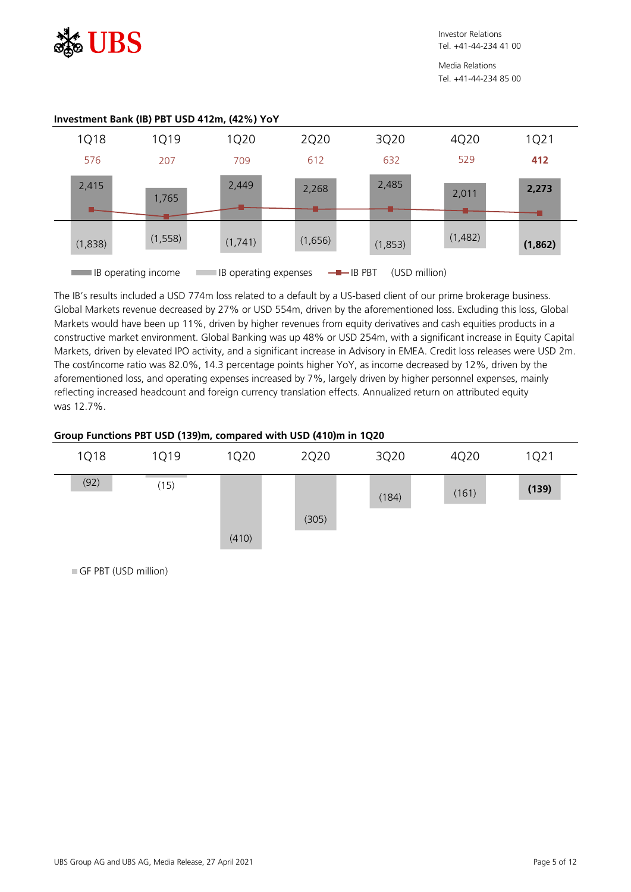

Media Relations Tel. +41-44-234 85 00



The IB's results included a USD 774m loss related to a default by a US-based client of our prime brokerage business. Global Markets revenue decreased by 27% or USD 554m, driven by the aforementioned loss. Excluding this loss, Global Markets would have been up 11%, driven by higher revenues from equity derivatives and cash equities products in a constructive market environment. Global Banking was up 48% or USD 254m, with a significant increase in Equity Capital Markets, driven by elevated IPO activity, and a significant increase in Advisory in EMEA. Credit loss releases were USD 2m. The cost/income ratio was 82.0%, 14.3 percentage points higher YoY, as income decreased by 12%, driven by the aforementioned loss, and operating expenses increased by 7%, largely driven by higher personnel expenses, mainly reflecting increased headcount and foreign currency translation effects. Annualized return on attributed equity was 12.7%.

# **Group Functions PBT USD (139)m, compared with USD (410)m in 1Q20**



GF PBT (USD million)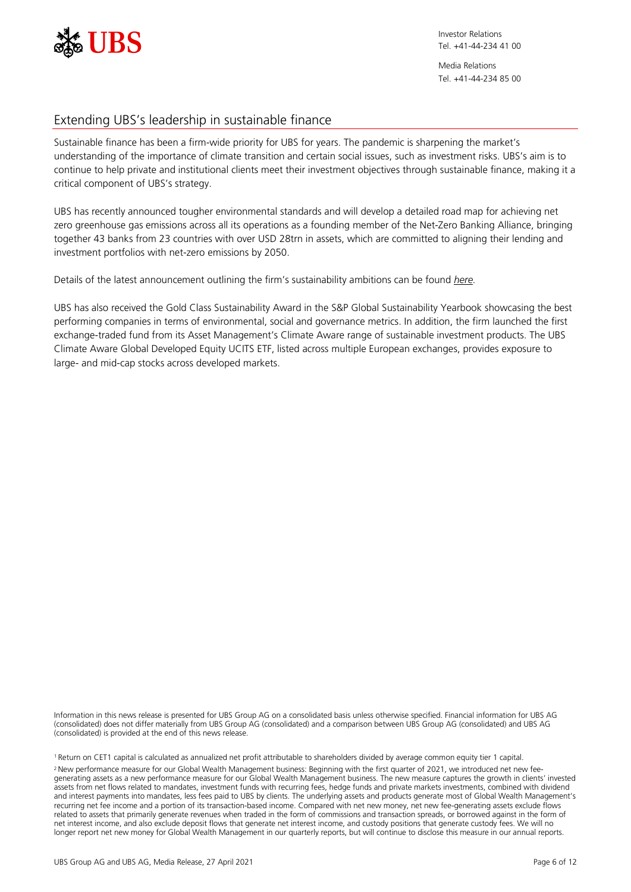

Media Relations Tel. +41-44-234 85 00

# Extending UBS's leadership in sustainable finance

Sustainable finance has been a firm-wide priority for UBS for years. The pandemic is sharpening the market's understanding of the importance of climate transition and certain social issues, such as investment risks. UBS's aim is to continue to help private and institutional clients meet their investment objectives through sustainable finance, making it a critical component of UBS's strategy.

UBS has recently announced tougher environmental standards and will develop a detailed road map for achieving net zero greenhouse gas emissions across all its operations as a founding member of the Net-Zero Banking Alliance, bringing together 43 banks from 23 countries with over USD 28trn in assets, which are committed to aligning their lending and investment portfolios with net-zero emissions by 2050.

Details of the latest announcement outlining the firm's sustainability ambitions can be found *[here.](https://www.ubs.com/global/en/media/display-page-ndp/en-20210422-net-zero.html?caasID=CAAS-ActivityStream)*

UBS has also received the Gold Class Sustainability Award in the S&P Global Sustainability Yearbook showcasing the best performing companies in terms of environmental, social and governance metrics. In addition, the firm launched the first exchange-traded fund from its Asset Management's Climate Aware range of sustainable investment products. The UBS Climate Aware Global Developed Equity UCITS ETF, listed across multiple European exchanges, provides exposure to large- and mid-cap stocks across developed markets.

Information in this news release is presented for UBS Group AG on a consolidated basis unless otherwise specified. Financial information for UBS AG (consolidated) does not differ materially from UBS Group AG (consolidated) and a comparison between UBS Group AG (consolidated) and UBS AG (consolidated) is provided at the end of this news release.

1 Return on CET1 capital is calculated as annualized net profit attributable to shareholders divided by average common equity tier 1 capital. <sup>2</sup> New performance measure for our Global Wealth Management business: Beginning with the first quarter of 2021, we introduced net new feegenerating assets as a new performance measure for our Global Wealth Management business. The new measure captures the growth in clients' invested assets from net flows related to mandates, investment funds with recurring fees, hedge funds and private markets investments, combined with dividend and interest payments into mandates, less fees paid to UBS by clients. The underlying assets and products generate most of Global Wealth Management's recurring net fee income and a portion of its transaction-based income. Compared with net new money, net new fee-generating assets exclude flows related to assets that primarily generate revenues when traded in the form of commissions and transaction spreads, or borrowed against in the form of net interest income, and also exclude deposit flows that generate net interest income, and custody positions that generate custody fees. We will no longer report net new money for Global Wealth Management in our quarterly reports, but will continue to disclose this measure in our annual reports.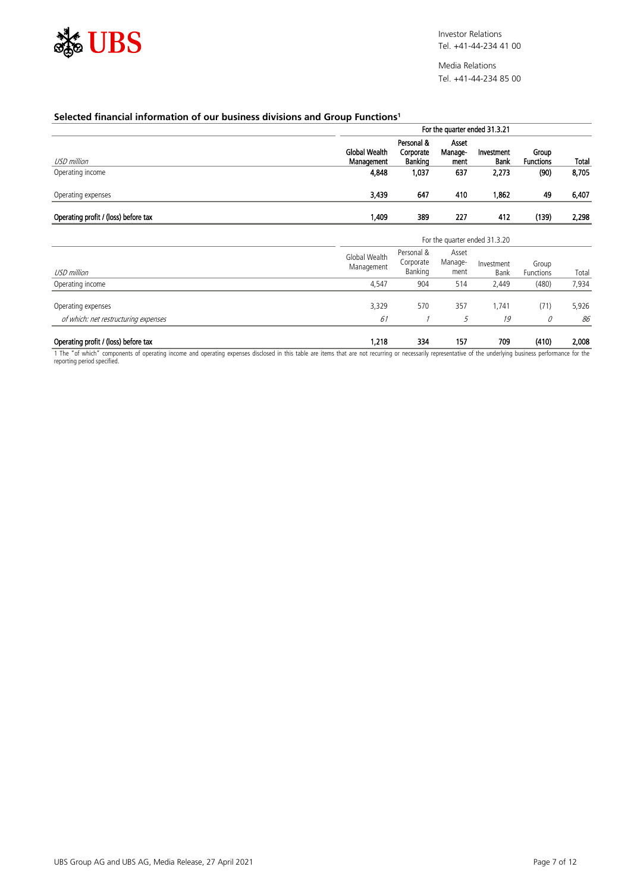

### **Selected financial information of our business divisions and Group Functions1**

|                                      |                                    | For the quarter ended 31.3.21      |                          |                               |                           |       |  |  |  |
|--------------------------------------|------------------------------------|------------------------------------|--------------------------|-------------------------------|---------------------------|-------|--|--|--|
| USD million                          | <b>Global Wealth</b><br>Management | Personal &<br>Corporate<br>Banking | Asset<br>Manage-<br>ment | Investment<br><b>Bank</b>     | Group<br><b>Functions</b> | Total |  |  |  |
| Operating income                     | 4,848                              | 1,037                              | 637                      | 2,273                         | (90)                      | 8,705 |  |  |  |
| Operating expenses                   | 3,439                              | 647                                | 410                      | 1,862                         | 49                        | 6,407 |  |  |  |
| Operating profit / (loss) before tax | 1,409                              | 389                                | 227                      | 412                           | (139)                     | 2,298 |  |  |  |
|                                      |                                    |                                    |                          | For the quarter ended 31.3.20 |                           |       |  |  |  |
| USD million                          | Global Wealth<br>Management        | Personal &<br>Corporate<br>Banking | Asset<br>Manage-<br>ment | Investment<br><b>Bank</b>     | Group<br>Functions        | Total |  |  |  |
| Operating income                     | 4,547                              | 904                                | 514                      | 2,449                         | (480)                     | 7,934 |  |  |  |
| Operating expenses                   | 3,329                              | 570                                | 357                      | 1,741                         | (71)                      | 5,926 |  |  |  |
| of which: net restructuring expenses | 61                                 |                                    | 5                        | 19                            | 0                         | 86    |  |  |  |
| Operating profit / (loss) before tax | 1,218                              | 334                                | 157                      | 709                           | (410)                     | 2,008 |  |  |  |

1 The "of which" components of operating income and operating expenses disclosed in this table are items that are not recurring or necessarily representative of the underlying business performance for the reporting period specified.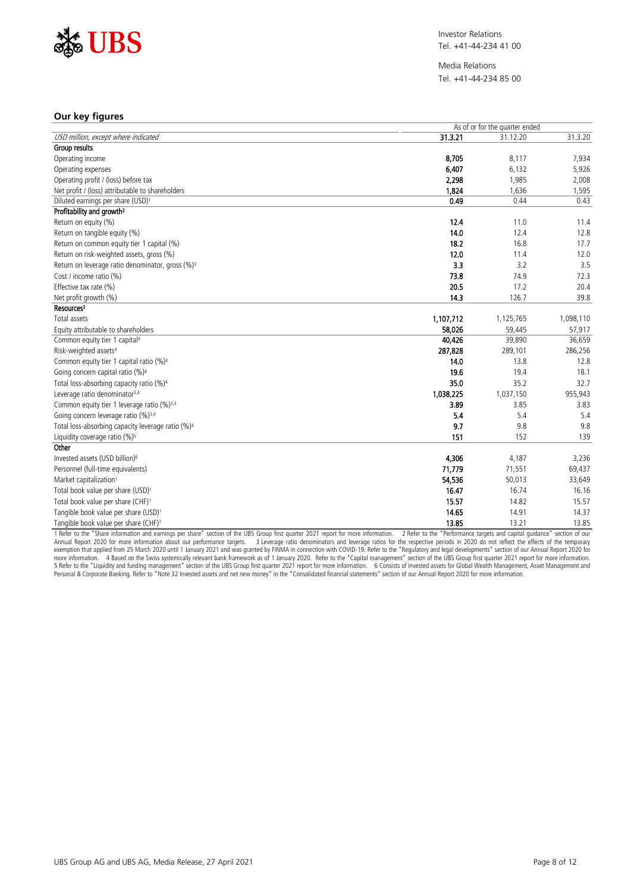

Media Relations Tel. +41-44-234 85 00

## **Our key figures**

|                                                               | As of or for the quarter ended |                 |           |  |  |  |
|---------------------------------------------------------------|--------------------------------|-----------------|-----------|--|--|--|
| USD million, except where indicated                           | 31.3.21                        | 31.12.20        | 31.3.20   |  |  |  |
| Group results                                                 |                                |                 |           |  |  |  |
| Operating income                                              | 8.705                          | 8.117           | 7,934     |  |  |  |
| Operating expenses                                            | 6.407                          | 6,132           | 5,926     |  |  |  |
| Operating profit / (loss) before tax                          | 2,298                          | 1,985           | 2,008     |  |  |  |
| Net profit / (loss) attributable to shareholders              | 1,824                          | 1,636           | 1,595     |  |  |  |
| Diluted earnings per share (USD) <sup>1</sup>                 | 0.49                           | 0.44            | 0.43      |  |  |  |
| Profitability and growth <sup>2</sup>                         |                                |                 |           |  |  |  |
| Return on equity (%)                                          | 12.4                           | 11.0            | 11.4<br>. |  |  |  |
| Return on tangible equity (%)                                 | 14.0                           | 12.4            | 12.8      |  |  |  |
| Return on common equity tier 1 capital (%)                    | 18.2                           | 16.8            | 17.7      |  |  |  |
| Return on risk-weighted assets, gross (%)                     | 12.0                           | 11.4            | 12.0      |  |  |  |
| Return on leverage ratio denominator, gross (%) <sup>3</sup>  | 3.3                            | 3.2             | 3.5       |  |  |  |
| Cost / income ratio (%)                                       | 73.8                           | 74.9            | 72.3      |  |  |  |
| Effective tax rate (%)                                        | 20.5                           | 17.2            | 20.4      |  |  |  |
| Net profit growth (%)                                         | 14.3                           | 126.7           | 39.8      |  |  |  |
| Resources <sup>2</sup>                                        |                                |                 |           |  |  |  |
| Total assets                                                  | 1,107,712                      | 1,125,765       | 1,098,110 |  |  |  |
| Equity attributable to shareholders                           | 58,026                         | 59,445          | 57,917    |  |  |  |
| Common equity tier 1 capital <sup>4</sup>                     | 40,426                         | 39.890          | 36,659    |  |  |  |
| Risk-weighted assets <sup>4</sup>                             | 287,828                        | 289,101         | 286,256   |  |  |  |
| Common equity tier 1 capital ratio (%) <sup>4</sup>           | 14.0                           | 13.8            | 12.8      |  |  |  |
| Going concern capital ratio (%) <sup>4</sup>                  | 19.6                           | 19.4            | 18.1      |  |  |  |
| Total loss-absorbing capacity ratio (%) <sup>4</sup>          | 35.0                           | 35.2            | 32.7      |  |  |  |
| Leverage ratio denominator <sup>3,4</sup>                     | 1,038,225                      | 1,037,150       | 955,943   |  |  |  |
| Common equity tier 1 leverage ratio (%) <sup>3,4</sup>        | 3.89                           | 3.85            | 3.83      |  |  |  |
| Going concern leverage ratio (%) <sup>3,4</sup>               | 5.4                            | 5.4             | 5.4       |  |  |  |
| Total loss-absorbing capacity leverage ratio (%) <sup>4</sup> | 9.7                            | 9.8             | 9.8       |  |  |  |
| Liquidity coverage ratio $(%)^5$                              | $\overline{151}$               | $\frac{1}{152}$ | 139       |  |  |  |
| Other                                                         |                                |                 |           |  |  |  |
| Invested assets (USD billion) <sup>6</sup>                    | 4.306                          | 4,187           | 3,236     |  |  |  |
| Personnel (full-time equivalents)                             | 71,779                         | 71,551          | 69,437    |  |  |  |
| Market capitalization <sup>1</sup>                            | 54,536                         | 50,013          | 33,649    |  |  |  |
| Total book value per share (USD) <sup>1</sup>                 | 16.47                          | 16.74           | 16.16     |  |  |  |
| Total book value per share (CHF) <sup>1</sup>                 | 15.57                          | 14.82           | 15.57     |  |  |  |
| Tangible book value per share (USD) <sup>1</sup>              | 14.65                          | 14.91           | 14.37     |  |  |  |
| Tangible book value per share (CHF) <sup>1</sup>              | 13.85                          | 13.21           | 13.85     |  |  |  |

1 Refer to the "Share information and earnings per share" section of the UBS Group first quarter 2021 report for more information. 2 Refer to the "Performance targets and capital guidance" section of our<br>Annual Report 2020 exemption that applied from 25 March 2020 until 1 January 2021 and was granted by FINMA in connection with COVID-19. Refer to the "Regulatory and legal developments" section of our Annual Report 2020 for<br>more information. Personal & Corporate Banking. Refer to "Note 32 Invested assets and net new money" in the "Consolidated financial statements" section of our Annual Report 2020 for more information.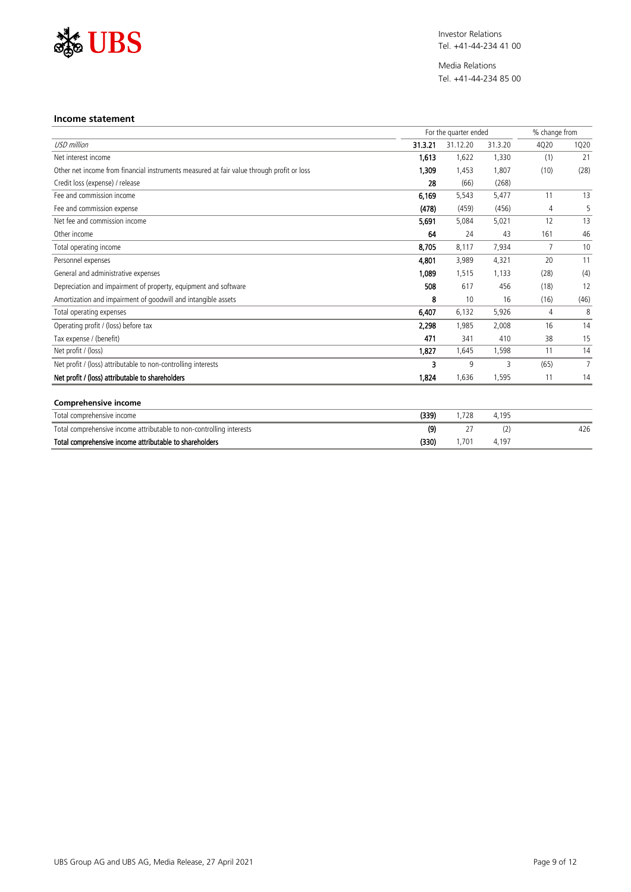

Media Relations Tel. +41-44-234 85 00

#### **Income statement**

|                                                                                           |         | For the quarter ended |         |      | % change from |  |
|-------------------------------------------------------------------------------------------|---------|-----------------------|---------|------|---------------|--|
| <b>USD</b> million                                                                        | 31.3.21 | 31.12.20              | 31.3.20 | 4Q20 | 1Q20          |  |
| Net interest income                                                                       | 1,613   | 1,622                 | 1,330   | (1)  | 21            |  |
| Other net income from financial instruments measured at fair value through profit or loss | 1.309   | 1,453                 | 1,807   | (10) | (28)          |  |
| Credit loss (expense) / release                                                           | 28      | (66)                  | (268)   |      |               |  |
| Fee and commission income                                                                 | 6,169   | 5,543                 | 5,477   |      | 13            |  |
| Fee and commission expense                                                                | (478)   | (459)                 | (456)   |      |               |  |
| Net fee and commission income                                                             | 5.691   | 5,084                 | 5,021   | 12   | 13            |  |
| Other income                                                                              | 64      | 24                    | 43      | 161  | 46            |  |
| Total operating income                                                                    | 8,705   | 8.117                 | 7,934   |      | 10            |  |
| Personnel expenses                                                                        | 4.801   | 3,989                 | 4.321   | 20   | 11            |  |
| General and administrative expenses                                                       | 1.089   | 1,515                 | 1.133   | (28) | (4)           |  |
| Depreciation and impairment of property, equipment and software                           | 508     | 617                   | 456     | (18) | 12            |  |
| Amortization and impairment of goodwill and intangible assets                             | 8       | 10                    | 16      | (16) | (46)          |  |
| Total operating expenses                                                                  | 6,407   | 6,132                 | 5,926   | 4    | 8             |  |
| Operating profit / (loss) before tax                                                      | 2,298   | 1,985                 | 2,008   | 16   | 14            |  |
| Tax expense / (benefit)                                                                   | 471     | 341                   | 410     | 38   | 15            |  |
| Net profit / (loss)                                                                       | 1,827   | 1.645                 | 1,598   |      | 14            |  |
| Net profit / (loss) attributable to non-controlling interests                             | 3       | q                     |         | (65) |               |  |
| Net profit / (loss) attributable to shareholders                                          | 1,824   | 1,636                 | 1,595   |      | 14            |  |

| Total comprehensive income                                           | 339) | 728 | 4.195 |     |
|----------------------------------------------------------------------|------|-----|-------|-----|
| Total comprehensive income attributable to non-controlling interests | (9)  |     |       | 426 |
| Total comprehensive income attributable to shareholders              | 330) |     | 4.19  |     |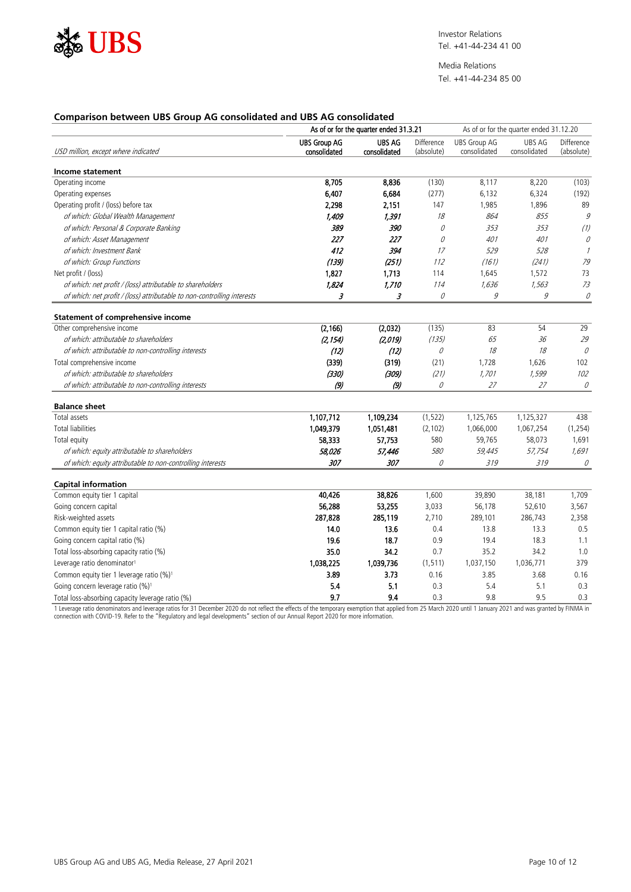

Media Relations Tel. +41-44-234 85 00

# **Comparison between UBS Group AG consolidated and UBS AG consolidated**

| <b>UBS Group AG</b><br><b>UBS AG</b><br><b>UBS Group AG</b><br>Difference<br><b>UBS AG</b><br>Difference<br>consolidated<br>USD million, except where indicated<br>consolidated<br>(absolute)<br>consolidated<br>consolidated<br>(absolute)<br>Income statement<br>8,705<br>(130)<br>8,117<br>8,220<br>Operating income<br>8,836<br>(103)<br>6,407<br>6.684<br>(277)<br>6,132<br>6,324<br>Operating expenses<br>(192)<br>1,896<br>147<br>1,985<br>89<br>Operating profit / (loss) before tax<br>2.298<br>2.151<br>of which: Global Wealth Management<br>9<br>1,409<br>1,391<br>$\frac{18}{15}$<br>864<br>855<br>389<br>of which: Personal & Corporate Banking<br>390<br>353<br>353<br>(1)<br>0<br>227<br>227<br>401<br>401<br>of which: Asset Management<br>0<br>0<br>.<br>412<br>394<br>529<br>528<br>of which: Investment Bank<br>17<br>$\mathcal I$<br>(139)<br>(251)<br>(241)<br>of which: Group Functions<br>112<br>(161)<br>79<br>1,827<br>1,713<br>73<br>114<br>1,645<br>1,572<br>Net profit / (loss)<br>$\frac{73}{2}$<br>1,824<br>114<br>of which: net profit / (loss) attributable to shareholders<br>1,710<br>1,636<br>1,563<br>3<br>3<br>9<br>9<br>0<br>of which: net profit / (loss) attributable to non-controlling interests<br>О<br><b>Statement of comprehensive income</b><br>(2, 166)<br>54<br>(2,032)<br>(135)<br>83<br>29<br>Other comprehensive income<br>of which: attributable to shareholders<br>(2, 154)<br>(2,019)<br>(135)<br>65<br>36<br>$\frac{29}{100}$<br>$\mathcal O$<br>(12)<br>(12)<br>$18$<br>of which: attributable to non-controlling interests<br>0<br>18<br>(339)<br>(319)<br>1,728<br>1,626<br>(21)<br>102<br>Total comprehensive income<br>(330)<br>(309)<br>1,599<br>of which: attributable to shareholders<br>(21)<br>1,701<br>102<br>27<br>(9)<br>(9)<br>0<br>27<br>0<br>of which: attributable to non-controlling interests<br><b>Balance sheet</b><br>1,107,712<br>1,109,234<br>(1, 522)<br>1,125,765<br>1,125,327<br>438<br>Total assets<br><b>Total liabilities</b><br>1,049,379<br>1,051,481<br>(2, 102)<br>1,066,000<br>1,067,254<br>(1, 254)<br>580<br>58,333<br>59,765<br>58,073<br>1,691<br>Total equity<br>57,753<br>580<br>59,445<br>of which: equity attributable to shareholders<br>58,026<br>57,446<br>57,754<br>1,691<br>307<br>307<br>of which: equity attributable to non-controlling interests<br>0<br>319<br>319<br>0<br><b>Capital information</b><br>Common equity tier 1 capital<br>40,426<br>38,826<br>1,600<br>39,890<br>38,181<br>1,709<br>Going concern capital<br>56,288<br>53,255<br>3,033<br>56,178<br>52,610<br>3,567<br>Risk-weighted assets<br>287,828<br>285,119<br>2,710<br>289,101<br>286,743<br>2,358<br>Common equity tier 1 capital ratio (%)<br>14.0<br>0.4<br>13.3<br>13.6<br>13.8<br>0.5<br>19.6<br>18.7<br>0.9<br>Going concern capital ratio (%)<br>19.4<br>18.3<br>1.1<br>Total loss-absorbing capacity ratio (%)<br>35.0<br>34.2<br>0.7<br>35.2<br>34.2<br>1.0<br>Leverage ratio denominator <sup>1</sup><br>1,038,225<br>1,039,736<br>(1, 511)<br>1,037,150<br>1,036,771<br>379<br>3.89<br>Common equity tier 1 leverage ratio (%) <sup>1</sup><br>3.73<br>0.16<br>3.85<br>3.68<br>0.16<br>5.1<br>5.4<br>0.3<br>5.4<br>5.1<br>Going concern leverage ratio (%) <sup>1</sup><br>0.3<br>0.3<br>9.5<br>9.7<br>9.4<br>9.8<br>0.3 |                                                  | As of or for the quarter ended 31.3.21 |  | As of or for the quarter ended 31.12.20 |  |
|-------------------------------------------------------------------------------------------------------------------------------------------------------------------------------------------------------------------------------------------------------------------------------------------------------------------------------------------------------------------------------------------------------------------------------------------------------------------------------------------------------------------------------------------------------------------------------------------------------------------------------------------------------------------------------------------------------------------------------------------------------------------------------------------------------------------------------------------------------------------------------------------------------------------------------------------------------------------------------------------------------------------------------------------------------------------------------------------------------------------------------------------------------------------------------------------------------------------------------------------------------------------------------------------------------------------------------------------------------------------------------------------------------------------------------------------------------------------------------------------------------------------------------------------------------------------------------------------------------------------------------------------------------------------------------------------------------------------------------------------------------------------------------------------------------------------------------------------------------------------------------------------------------------------------------------------------------------------------------------------------------------------------------------------------------------------------------------------------------------------------------------------------------------------------------------------------------------------------------------------------------------------------------------------------------------------------------------------------------------------------------------------------------------------------------------------------------------------------------------------------------------------------------------------------------------------------------------------------------------------------------------------------------------------------------------------------------------------------------------------------------------------------------------------------------------------------------------------------------------------------------------------------------------------------------------------------------------------------------------------------------------------------------------------------------------------------------------------------------------------------------------------------------------------------------------------------------------------------------------------------------------------------------------------------------------------------|--------------------------------------------------|----------------------------------------|--|-----------------------------------------|--|
|                                                                                                                                                                                                                                                                                                                                                                                                                                                                                                                                                                                                                                                                                                                                                                                                                                                                                                                                                                                                                                                                                                                                                                                                                                                                                                                                                                                                                                                                                                                                                                                                                                                                                                                                                                                                                                                                                                                                                                                                                                                                                                                                                                                                                                                                                                                                                                                                                                                                                                                                                                                                                                                                                                                                                                                                                                                                                                                                                                                                                                                                                                                                                                                                                                                                                                                         |                                                  |                                        |  |                                         |  |
|                                                                                                                                                                                                                                                                                                                                                                                                                                                                                                                                                                                                                                                                                                                                                                                                                                                                                                                                                                                                                                                                                                                                                                                                                                                                                                                                                                                                                                                                                                                                                                                                                                                                                                                                                                                                                                                                                                                                                                                                                                                                                                                                                                                                                                                                                                                                                                                                                                                                                                                                                                                                                                                                                                                                                                                                                                                                                                                                                                                                                                                                                                                                                                                                                                                                                                                         |                                                  |                                        |  |                                         |  |
|                                                                                                                                                                                                                                                                                                                                                                                                                                                                                                                                                                                                                                                                                                                                                                                                                                                                                                                                                                                                                                                                                                                                                                                                                                                                                                                                                                                                                                                                                                                                                                                                                                                                                                                                                                                                                                                                                                                                                                                                                                                                                                                                                                                                                                                                                                                                                                                                                                                                                                                                                                                                                                                                                                                                                                                                                                                                                                                                                                                                                                                                                                                                                                                                                                                                                                                         |                                                  |                                        |  |                                         |  |
|                                                                                                                                                                                                                                                                                                                                                                                                                                                                                                                                                                                                                                                                                                                                                                                                                                                                                                                                                                                                                                                                                                                                                                                                                                                                                                                                                                                                                                                                                                                                                                                                                                                                                                                                                                                                                                                                                                                                                                                                                                                                                                                                                                                                                                                                                                                                                                                                                                                                                                                                                                                                                                                                                                                                                                                                                                                                                                                                                                                                                                                                                                                                                                                                                                                                                                                         |                                                  |                                        |  |                                         |  |
|                                                                                                                                                                                                                                                                                                                                                                                                                                                                                                                                                                                                                                                                                                                                                                                                                                                                                                                                                                                                                                                                                                                                                                                                                                                                                                                                                                                                                                                                                                                                                                                                                                                                                                                                                                                                                                                                                                                                                                                                                                                                                                                                                                                                                                                                                                                                                                                                                                                                                                                                                                                                                                                                                                                                                                                                                                                                                                                                                                                                                                                                                                                                                                                                                                                                                                                         |                                                  |                                        |  |                                         |  |
|                                                                                                                                                                                                                                                                                                                                                                                                                                                                                                                                                                                                                                                                                                                                                                                                                                                                                                                                                                                                                                                                                                                                                                                                                                                                                                                                                                                                                                                                                                                                                                                                                                                                                                                                                                                                                                                                                                                                                                                                                                                                                                                                                                                                                                                                                                                                                                                                                                                                                                                                                                                                                                                                                                                                                                                                                                                                                                                                                                                                                                                                                                                                                                                                                                                                                                                         |                                                  |                                        |  |                                         |  |
|                                                                                                                                                                                                                                                                                                                                                                                                                                                                                                                                                                                                                                                                                                                                                                                                                                                                                                                                                                                                                                                                                                                                                                                                                                                                                                                                                                                                                                                                                                                                                                                                                                                                                                                                                                                                                                                                                                                                                                                                                                                                                                                                                                                                                                                                                                                                                                                                                                                                                                                                                                                                                                                                                                                                                                                                                                                                                                                                                                                                                                                                                                                                                                                                                                                                                                                         |                                                  |                                        |  |                                         |  |
|                                                                                                                                                                                                                                                                                                                                                                                                                                                                                                                                                                                                                                                                                                                                                                                                                                                                                                                                                                                                                                                                                                                                                                                                                                                                                                                                                                                                                                                                                                                                                                                                                                                                                                                                                                                                                                                                                                                                                                                                                                                                                                                                                                                                                                                                                                                                                                                                                                                                                                                                                                                                                                                                                                                                                                                                                                                                                                                                                                                                                                                                                                                                                                                                                                                                                                                         |                                                  |                                        |  |                                         |  |
|                                                                                                                                                                                                                                                                                                                                                                                                                                                                                                                                                                                                                                                                                                                                                                                                                                                                                                                                                                                                                                                                                                                                                                                                                                                                                                                                                                                                                                                                                                                                                                                                                                                                                                                                                                                                                                                                                                                                                                                                                                                                                                                                                                                                                                                                                                                                                                                                                                                                                                                                                                                                                                                                                                                                                                                                                                                                                                                                                                                                                                                                                                                                                                                                                                                                                                                         |                                                  |                                        |  |                                         |  |
|                                                                                                                                                                                                                                                                                                                                                                                                                                                                                                                                                                                                                                                                                                                                                                                                                                                                                                                                                                                                                                                                                                                                                                                                                                                                                                                                                                                                                                                                                                                                                                                                                                                                                                                                                                                                                                                                                                                                                                                                                                                                                                                                                                                                                                                                                                                                                                                                                                                                                                                                                                                                                                                                                                                                                                                                                                                                                                                                                                                                                                                                                                                                                                                                                                                                                                                         |                                                  |                                        |  |                                         |  |
|                                                                                                                                                                                                                                                                                                                                                                                                                                                                                                                                                                                                                                                                                                                                                                                                                                                                                                                                                                                                                                                                                                                                                                                                                                                                                                                                                                                                                                                                                                                                                                                                                                                                                                                                                                                                                                                                                                                                                                                                                                                                                                                                                                                                                                                                                                                                                                                                                                                                                                                                                                                                                                                                                                                                                                                                                                                                                                                                                                                                                                                                                                                                                                                                                                                                                                                         |                                                  |                                        |  |                                         |  |
|                                                                                                                                                                                                                                                                                                                                                                                                                                                                                                                                                                                                                                                                                                                                                                                                                                                                                                                                                                                                                                                                                                                                                                                                                                                                                                                                                                                                                                                                                                                                                                                                                                                                                                                                                                                                                                                                                                                                                                                                                                                                                                                                                                                                                                                                                                                                                                                                                                                                                                                                                                                                                                                                                                                                                                                                                                                                                                                                                                                                                                                                                                                                                                                                                                                                                                                         |                                                  |                                        |  |                                         |  |
|                                                                                                                                                                                                                                                                                                                                                                                                                                                                                                                                                                                                                                                                                                                                                                                                                                                                                                                                                                                                                                                                                                                                                                                                                                                                                                                                                                                                                                                                                                                                                                                                                                                                                                                                                                                                                                                                                                                                                                                                                                                                                                                                                                                                                                                                                                                                                                                                                                                                                                                                                                                                                                                                                                                                                                                                                                                                                                                                                                                                                                                                                                                                                                                                                                                                                                                         |                                                  |                                        |  |                                         |  |
|                                                                                                                                                                                                                                                                                                                                                                                                                                                                                                                                                                                                                                                                                                                                                                                                                                                                                                                                                                                                                                                                                                                                                                                                                                                                                                                                                                                                                                                                                                                                                                                                                                                                                                                                                                                                                                                                                                                                                                                                                                                                                                                                                                                                                                                                                                                                                                                                                                                                                                                                                                                                                                                                                                                                                                                                                                                                                                                                                                                                                                                                                                                                                                                                                                                                                                                         |                                                  |                                        |  |                                         |  |
|                                                                                                                                                                                                                                                                                                                                                                                                                                                                                                                                                                                                                                                                                                                                                                                                                                                                                                                                                                                                                                                                                                                                                                                                                                                                                                                                                                                                                                                                                                                                                                                                                                                                                                                                                                                                                                                                                                                                                                                                                                                                                                                                                                                                                                                                                                                                                                                                                                                                                                                                                                                                                                                                                                                                                                                                                                                                                                                                                                                                                                                                                                                                                                                                                                                                                                                         |                                                  |                                        |  |                                         |  |
|                                                                                                                                                                                                                                                                                                                                                                                                                                                                                                                                                                                                                                                                                                                                                                                                                                                                                                                                                                                                                                                                                                                                                                                                                                                                                                                                                                                                                                                                                                                                                                                                                                                                                                                                                                                                                                                                                                                                                                                                                                                                                                                                                                                                                                                                                                                                                                                                                                                                                                                                                                                                                                                                                                                                                                                                                                                                                                                                                                                                                                                                                                                                                                                                                                                                                                                         |                                                  |                                        |  |                                         |  |
|                                                                                                                                                                                                                                                                                                                                                                                                                                                                                                                                                                                                                                                                                                                                                                                                                                                                                                                                                                                                                                                                                                                                                                                                                                                                                                                                                                                                                                                                                                                                                                                                                                                                                                                                                                                                                                                                                                                                                                                                                                                                                                                                                                                                                                                                                                                                                                                                                                                                                                                                                                                                                                                                                                                                                                                                                                                                                                                                                                                                                                                                                                                                                                                                                                                                                                                         |                                                  |                                        |  |                                         |  |
|                                                                                                                                                                                                                                                                                                                                                                                                                                                                                                                                                                                                                                                                                                                                                                                                                                                                                                                                                                                                                                                                                                                                                                                                                                                                                                                                                                                                                                                                                                                                                                                                                                                                                                                                                                                                                                                                                                                                                                                                                                                                                                                                                                                                                                                                                                                                                                                                                                                                                                                                                                                                                                                                                                                                                                                                                                                                                                                                                                                                                                                                                                                                                                                                                                                                                                                         |                                                  |                                        |  |                                         |  |
|                                                                                                                                                                                                                                                                                                                                                                                                                                                                                                                                                                                                                                                                                                                                                                                                                                                                                                                                                                                                                                                                                                                                                                                                                                                                                                                                                                                                                                                                                                                                                                                                                                                                                                                                                                                                                                                                                                                                                                                                                                                                                                                                                                                                                                                                                                                                                                                                                                                                                                                                                                                                                                                                                                                                                                                                                                                                                                                                                                                                                                                                                                                                                                                                                                                                                                                         |                                                  |                                        |  |                                         |  |
|                                                                                                                                                                                                                                                                                                                                                                                                                                                                                                                                                                                                                                                                                                                                                                                                                                                                                                                                                                                                                                                                                                                                                                                                                                                                                                                                                                                                                                                                                                                                                                                                                                                                                                                                                                                                                                                                                                                                                                                                                                                                                                                                                                                                                                                                                                                                                                                                                                                                                                                                                                                                                                                                                                                                                                                                                                                                                                                                                                                                                                                                                                                                                                                                                                                                                                                         |                                                  |                                        |  |                                         |  |
|                                                                                                                                                                                                                                                                                                                                                                                                                                                                                                                                                                                                                                                                                                                                                                                                                                                                                                                                                                                                                                                                                                                                                                                                                                                                                                                                                                                                                                                                                                                                                                                                                                                                                                                                                                                                                                                                                                                                                                                                                                                                                                                                                                                                                                                                                                                                                                                                                                                                                                                                                                                                                                                                                                                                                                                                                                                                                                                                                                                                                                                                                                                                                                                                                                                                                                                         |                                                  |                                        |  |                                         |  |
|                                                                                                                                                                                                                                                                                                                                                                                                                                                                                                                                                                                                                                                                                                                                                                                                                                                                                                                                                                                                                                                                                                                                                                                                                                                                                                                                                                                                                                                                                                                                                                                                                                                                                                                                                                                                                                                                                                                                                                                                                                                                                                                                                                                                                                                                                                                                                                                                                                                                                                                                                                                                                                                                                                                                                                                                                                                                                                                                                                                                                                                                                                                                                                                                                                                                                                                         |                                                  |                                        |  |                                         |  |
|                                                                                                                                                                                                                                                                                                                                                                                                                                                                                                                                                                                                                                                                                                                                                                                                                                                                                                                                                                                                                                                                                                                                                                                                                                                                                                                                                                                                                                                                                                                                                                                                                                                                                                                                                                                                                                                                                                                                                                                                                                                                                                                                                                                                                                                                                                                                                                                                                                                                                                                                                                                                                                                                                                                                                                                                                                                                                                                                                                                                                                                                                                                                                                                                                                                                                                                         |                                                  |                                        |  |                                         |  |
|                                                                                                                                                                                                                                                                                                                                                                                                                                                                                                                                                                                                                                                                                                                                                                                                                                                                                                                                                                                                                                                                                                                                                                                                                                                                                                                                                                                                                                                                                                                                                                                                                                                                                                                                                                                                                                                                                                                                                                                                                                                                                                                                                                                                                                                                                                                                                                                                                                                                                                                                                                                                                                                                                                                                                                                                                                                                                                                                                                                                                                                                                                                                                                                                                                                                                                                         |                                                  |                                        |  |                                         |  |
|                                                                                                                                                                                                                                                                                                                                                                                                                                                                                                                                                                                                                                                                                                                                                                                                                                                                                                                                                                                                                                                                                                                                                                                                                                                                                                                                                                                                                                                                                                                                                                                                                                                                                                                                                                                                                                                                                                                                                                                                                                                                                                                                                                                                                                                                                                                                                                                                                                                                                                                                                                                                                                                                                                                                                                                                                                                                                                                                                                                                                                                                                                                                                                                                                                                                                                                         |                                                  |                                        |  |                                         |  |
|                                                                                                                                                                                                                                                                                                                                                                                                                                                                                                                                                                                                                                                                                                                                                                                                                                                                                                                                                                                                                                                                                                                                                                                                                                                                                                                                                                                                                                                                                                                                                                                                                                                                                                                                                                                                                                                                                                                                                                                                                                                                                                                                                                                                                                                                                                                                                                                                                                                                                                                                                                                                                                                                                                                                                                                                                                                                                                                                                                                                                                                                                                                                                                                                                                                                                                                         |                                                  |                                        |  |                                         |  |
|                                                                                                                                                                                                                                                                                                                                                                                                                                                                                                                                                                                                                                                                                                                                                                                                                                                                                                                                                                                                                                                                                                                                                                                                                                                                                                                                                                                                                                                                                                                                                                                                                                                                                                                                                                                                                                                                                                                                                                                                                                                                                                                                                                                                                                                                                                                                                                                                                                                                                                                                                                                                                                                                                                                                                                                                                                                                                                                                                                                                                                                                                                                                                                                                                                                                                                                         |                                                  |                                        |  |                                         |  |
|                                                                                                                                                                                                                                                                                                                                                                                                                                                                                                                                                                                                                                                                                                                                                                                                                                                                                                                                                                                                                                                                                                                                                                                                                                                                                                                                                                                                                                                                                                                                                                                                                                                                                                                                                                                                                                                                                                                                                                                                                                                                                                                                                                                                                                                                                                                                                                                                                                                                                                                                                                                                                                                                                                                                                                                                                                                                                                                                                                                                                                                                                                                                                                                                                                                                                                                         |                                                  |                                        |  |                                         |  |
|                                                                                                                                                                                                                                                                                                                                                                                                                                                                                                                                                                                                                                                                                                                                                                                                                                                                                                                                                                                                                                                                                                                                                                                                                                                                                                                                                                                                                                                                                                                                                                                                                                                                                                                                                                                                                                                                                                                                                                                                                                                                                                                                                                                                                                                                                                                                                                                                                                                                                                                                                                                                                                                                                                                                                                                                                                                                                                                                                                                                                                                                                                                                                                                                                                                                                                                         |                                                  |                                        |  |                                         |  |
|                                                                                                                                                                                                                                                                                                                                                                                                                                                                                                                                                                                                                                                                                                                                                                                                                                                                                                                                                                                                                                                                                                                                                                                                                                                                                                                                                                                                                                                                                                                                                                                                                                                                                                                                                                                                                                                                                                                                                                                                                                                                                                                                                                                                                                                                                                                                                                                                                                                                                                                                                                                                                                                                                                                                                                                                                                                                                                                                                                                                                                                                                                                                                                                                                                                                                                                         |                                                  |                                        |  |                                         |  |
|                                                                                                                                                                                                                                                                                                                                                                                                                                                                                                                                                                                                                                                                                                                                                                                                                                                                                                                                                                                                                                                                                                                                                                                                                                                                                                                                                                                                                                                                                                                                                                                                                                                                                                                                                                                                                                                                                                                                                                                                                                                                                                                                                                                                                                                                                                                                                                                                                                                                                                                                                                                                                                                                                                                                                                                                                                                                                                                                                                                                                                                                                                                                                                                                                                                                                                                         |                                                  |                                        |  |                                         |  |
|                                                                                                                                                                                                                                                                                                                                                                                                                                                                                                                                                                                                                                                                                                                                                                                                                                                                                                                                                                                                                                                                                                                                                                                                                                                                                                                                                                                                                                                                                                                                                                                                                                                                                                                                                                                                                                                                                                                                                                                                                                                                                                                                                                                                                                                                                                                                                                                                                                                                                                                                                                                                                                                                                                                                                                                                                                                                                                                                                                                                                                                                                                                                                                                                                                                                                                                         |                                                  |                                        |  |                                         |  |
|                                                                                                                                                                                                                                                                                                                                                                                                                                                                                                                                                                                                                                                                                                                                                                                                                                                                                                                                                                                                                                                                                                                                                                                                                                                                                                                                                                                                                                                                                                                                                                                                                                                                                                                                                                                                                                                                                                                                                                                                                                                                                                                                                                                                                                                                                                                                                                                                                                                                                                                                                                                                                                                                                                                                                                                                                                                                                                                                                                                                                                                                                                                                                                                                                                                                                                                         |                                                  |                                        |  |                                         |  |
|                                                                                                                                                                                                                                                                                                                                                                                                                                                                                                                                                                                                                                                                                                                                                                                                                                                                                                                                                                                                                                                                                                                                                                                                                                                                                                                                                                                                                                                                                                                                                                                                                                                                                                                                                                                                                                                                                                                                                                                                                                                                                                                                                                                                                                                                                                                                                                                                                                                                                                                                                                                                                                                                                                                                                                                                                                                                                                                                                                                                                                                                                                                                                                                                                                                                                                                         |                                                  |                                        |  |                                         |  |
|                                                                                                                                                                                                                                                                                                                                                                                                                                                                                                                                                                                                                                                                                                                                                                                                                                                                                                                                                                                                                                                                                                                                                                                                                                                                                                                                                                                                                                                                                                                                                                                                                                                                                                                                                                                                                                                                                                                                                                                                                                                                                                                                                                                                                                                                                                                                                                                                                                                                                                                                                                                                                                                                                                                                                                                                                                                                                                                                                                                                                                                                                                                                                                                                                                                                                                                         |                                                  |                                        |  |                                         |  |
|                                                                                                                                                                                                                                                                                                                                                                                                                                                                                                                                                                                                                                                                                                                                                                                                                                                                                                                                                                                                                                                                                                                                                                                                                                                                                                                                                                                                                                                                                                                                                                                                                                                                                                                                                                                                                                                                                                                                                                                                                                                                                                                                                                                                                                                                                                                                                                                                                                                                                                                                                                                                                                                                                                                                                                                                                                                                                                                                                                                                                                                                                                                                                                                                                                                                                                                         |                                                  |                                        |  |                                         |  |
|                                                                                                                                                                                                                                                                                                                                                                                                                                                                                                                                                                                                                                                                                                                                                                                                                                                                                                                                                                                                                                                                                                                                                                                                                                                                                                                                                                                                                                                                                                                                                                                                                                                                                                                                                                                                                                                                                                                                                                                                                                                                                                                                                                                                                                                                                                                                                                                                                                                                                                                                                                                                                                                                                                                                                                                                                                                                                                                                                                                                                                                                                                                                                                                                                                                                                                                         | Total loss-absorbing capacity leverage ratio (%) |                                        |  |                                         |  |

1 Leverage ratio denominators and leverage ratios for 31 December 2020 do not reflect the effects of the temporary exemption that applied from 25 March 2020 until 1 January 2021 and was granted by FINMA in<br>connection with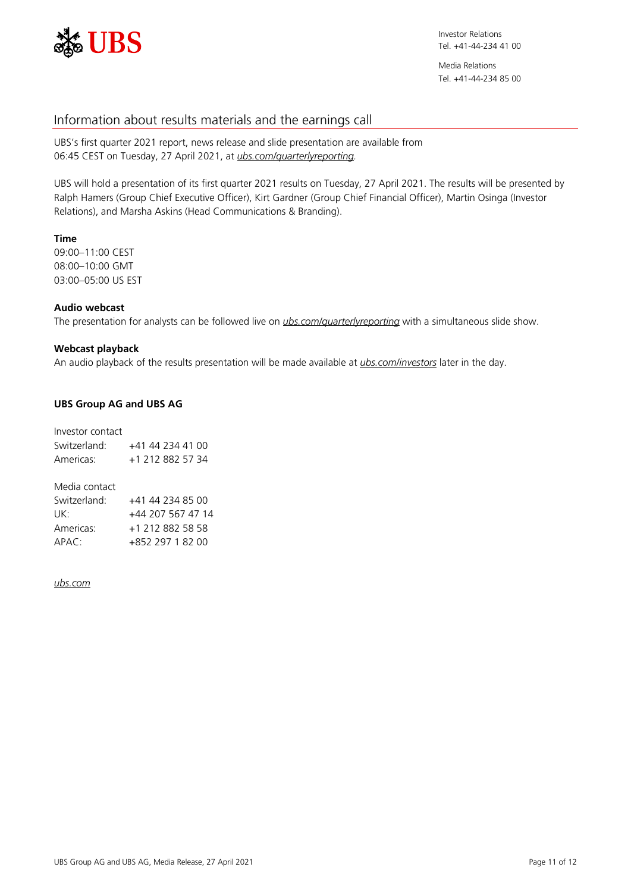

# Information about results materials and the earnings call

UBS's first quarter 2021 report, news release and slide presentation are available from 06:45 CEST on Tuesday, 27 April 2021, at *[ubs.com/quarterlyreporting.](https://www.ubs.com/quarterlyreporting)*

UBS will hold a presentation of its first quarter 2021 results on Tuesday, 27 April 2021. The results will be presented by Ralph Hamers (Group Chief Executive Officer), Kirt Gardner (Group Chief Financial Officer), Martin Osinga (Investor Relations), and Marsha Askins (Head Communications & Branding).

# **Time**

09:00–11:00 CEST 08:00–10:00 GMT 03:00–05:00 US EST

# **Audio webcast**

The presentation for analysts can be followed live on *[ubs.com/quarterlyreporting](https://www.ubs.com/quarterlyreporting)* with a simultaneous slide show.

# **Webcast playback**

An audio playback of the results presentation will be made available at *[ubs.com/investors](https://www.ubs.com/investors)* later in the day.

# **UBS Group AG and UBS AG**

| Investor contact         |                    |
|--------------------------|--------------------|
| Switzerland <sup>.</sup> | $+41$ 44 234 41 00 |
| Americas <sup>.</sup>    | +1 212 882 57 34   |
|                          |                    |
| Media contact            |                    |

| Switzerland <sup>.</sup> | $+41$ 44 234 85 00 |
|--------------------------|--------------------|
| UK∙                      | +44 207 567 47 14  |
| Americas:                | +1 212 882 58 58   |
| APAC                     | +852 297 1 82 00   |

## *[ubs.com](https://www.ubs.com/)*